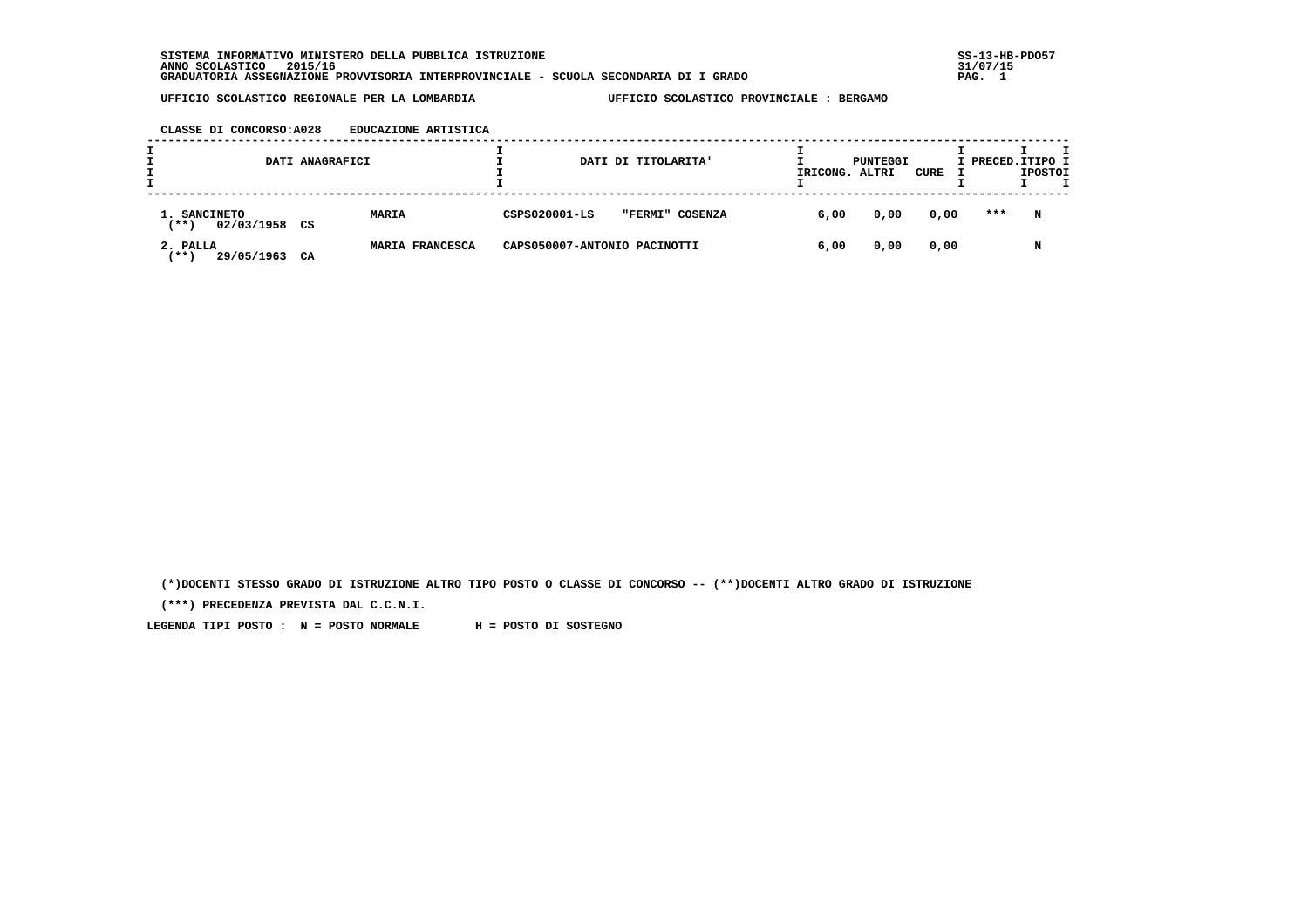**SISTEMA INFORMATIVO MINISTERO DELLA PUBBLICA ISTRUZIONE SS-13-HB-PDO57 ANNO SCOLASTICO 2015/16 31/07/15 GRADUATORIA ASSEGNAZIONE PROVVISORIA INTERPROVINCIALE - SCUOLA SECONDARIA DI I GRADO PAG. 1**

# **UFFICIO SCOLASTICO REGIONALE PER LA LOMBARDIA UFFICIO SCOLASTICO PROVINCIALE : BERGAMO**

#### **CLASSE DI CONCORSO:A028 EDUCAZIONE ARTISTICA**

|                                       | DATI ANAGRAFICI |                 |                              | DATI DI TITOLARITA' | IRICONG. | PUNTEGGI<br>ALTRI | CURE | I PRECED. ITIPO I | <b>IPOSTOI</b> |  |
|---------------------------------------|-----------------|-----------------|------------------------------|---------------------|----------|-------------------|------|-------------------|----------------|--|
| 1. SANCINETO<br>02/03/1958<br>$***$ ) | CS              | <b>MARIA</b>    | CSPS020001-LS                | "FERMI" COSENZA     | 6,00     | 0,00              | 0,00 | ***               | N              |  |
| 2. PALLA<br><b>**</b><br>29/05/1963   | CA              | MARIA FRANCESCA | CAPS050007-ANTONIO PACINOTTI |                     | 6,00     | 0,00              | 0,00 |                   | N              |  |

 **(\*)DOCENTI STESSO GRADO DI ISTRUZIONE ALTRO TIPO POSTO O CLASSE DI CONCORSO -- (\*\*)DOCENTI ALTRO GRADO DI ISTRUZIONE**

 **(\*\*\*) PRECEDENZA PREVISTA DAL C.C.N.I.**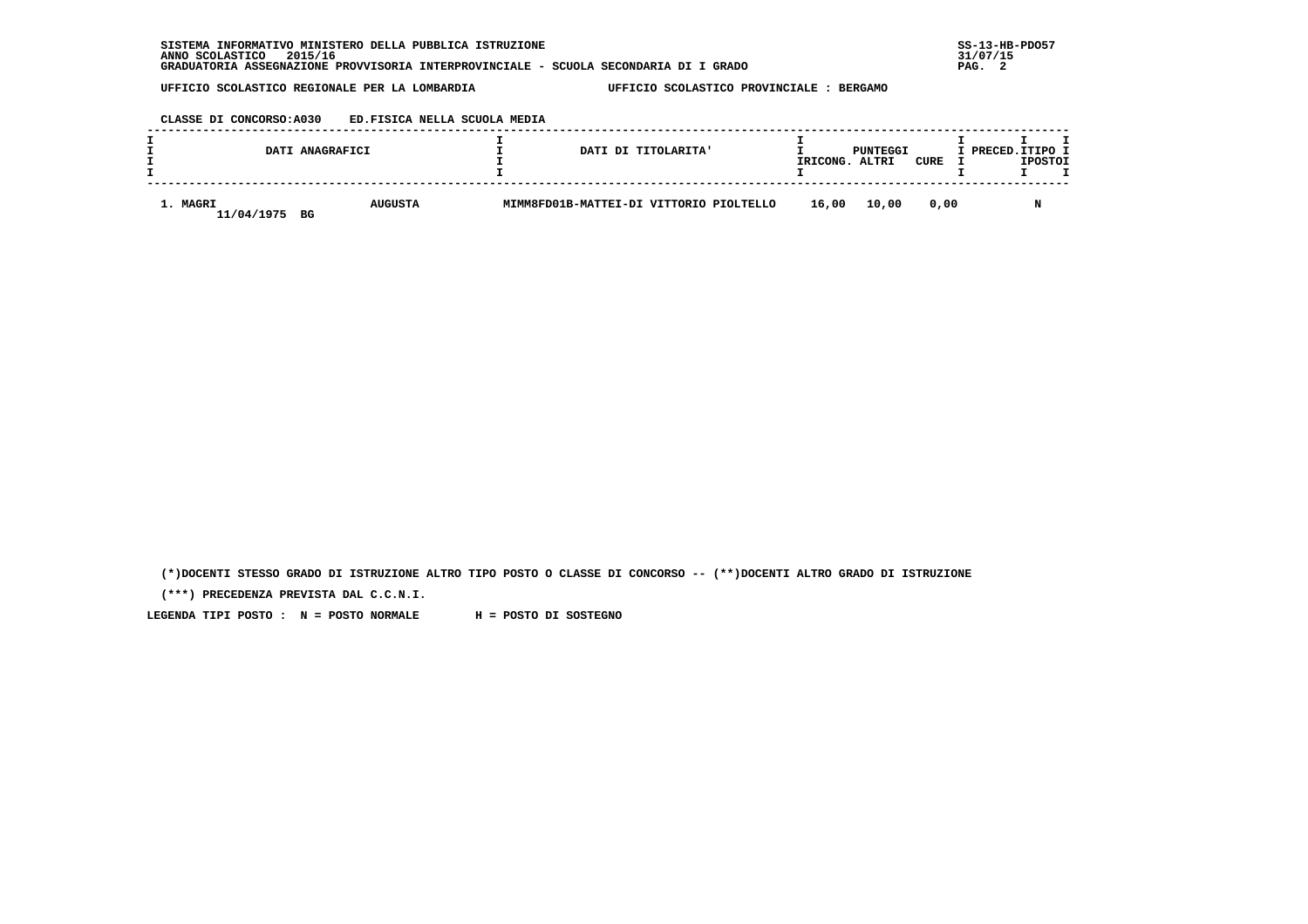| . INFORMATIVO MINISTERO DELLA PUBBLICA ISTRUZIONE<br>SISTEMA                         | $SS-13-HE$ |
|--------------------------------------------------------------------------------------|------------|
| 2015/16<br>ANNO SCOLASTICO                                                           | 31/07/15   |
| GRADUATORIA ASSEGNAZIONE PROVVISORIA INTERPROVINCIALE - SCUOLA SECONDARIA DI I GRADO | PAG.       |

## **CLASSE DI CONCORSO:A030 ED.FISICA NELLA SCUOLA MEDIA**

|                        | DATI ANAGRAFICI      | DATI DI TITOLARITA'                     | IRICONG. | PUNTEGGI<br>ALTRI | CURE | I PRECED.ITIPO I | <b>IPOSTOI</b> |  |
|------------------------|----------------------|-----------------------------------------|----------|-------------------|------|------------------|----------------|--|
| 1. MAGRI<br>11/04/1975 | <b>AUGUSTA</b><br>BG | MIMM8FD01B-MATTEI-DI VITTORIO PIOLTELLO | 16,00    | 10,00             | 0.00 |                  |                |  |

 **(\*)DOCENTI STESSO GRADO DI ISTRUZIONE ALTRO TIPO POSTO O CLASSE DI CONCORSO -- (\*\*)DOCENTI ALTRO GRADO DI ISTRUZIONE**

 **(\*\*\*) PRECEDENZA PREVISTA DAL C.C.N.I.**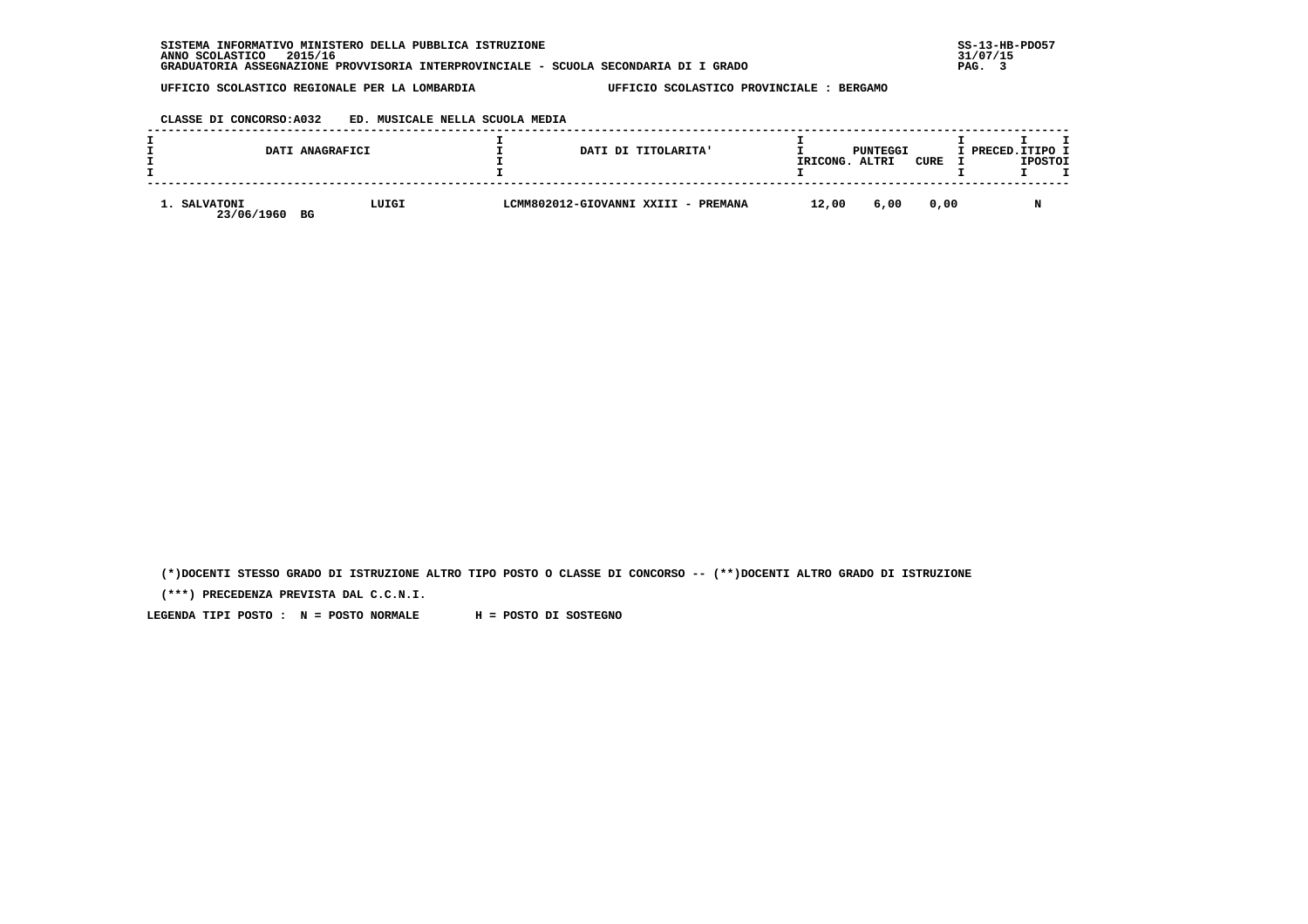# **CLASSE DI CONCORSO:A032 ED. MUSICALE NELLA SCUOLA MEDIA**

|                            | DATI ANAGRAFICI | DATI DI TITOLARITA'                 | IRICONG. | PUNTEGGI<br>ALTRI | CURE | I PRECED.ITIPO I | <b>IPOSTOI</b> |  |
|----------------------------|-----------------|-------------------------------------|----------|-------------------|------|------------------|----------------|--|
| 1. SALVATONI<br>23/06/1960 | LUIGI<br>BG     | LCMM802012-GIOVANNI XXIII - PREMANA | 12,00    | 6,00              | 0.00 |                  | M              |  |

 **(\*)DOCENTI STESSO GRADO DI ISTRUZIONE ALTRO TIPO POSTO O CLASSE DI CONCORSO -- (\*\*)DOCENTI ALTRO GRADO DI ISTRUZIONE**

 **(\*\*\*) PRECEDENZA PREVISTA DAL C.C.N.I.**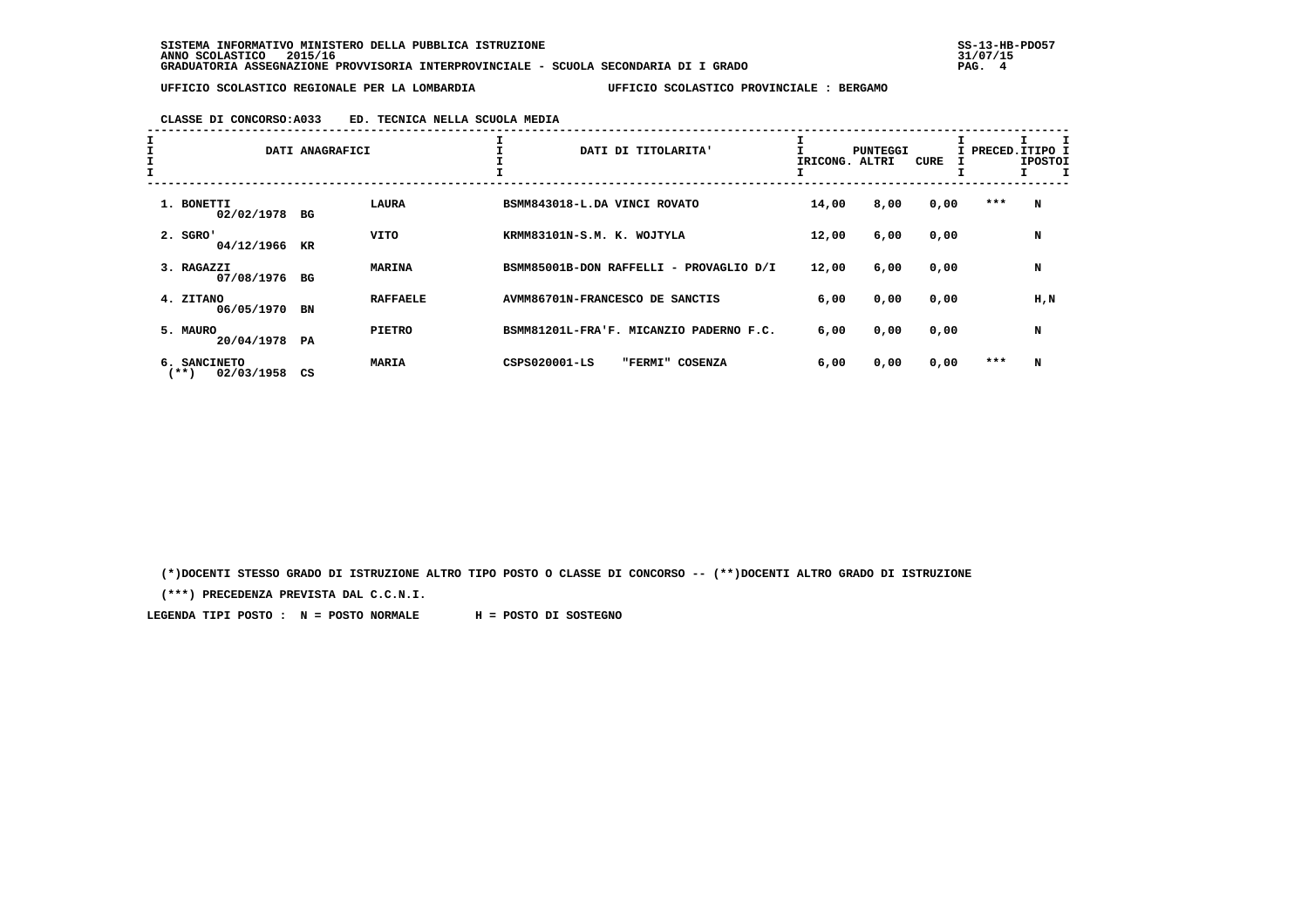# **CLASSE DI CONCORSO:A033 ED. TECNICA NELLA SCUOLA MEDIA**

| I<br>I<br>I |                                    | DATI ANAGRAFICI |                 | DATI DI TITOLARITA'                     | IRICONG. ALTRI | PUNTEGGI | <b>CURE</b> | I PRECED. ITIPO I | <b>IPOSTOI</b> |
|-------------|------------------------------------|-----------------|-----------------|-----------------------------------------|----------------|----------|-------------|-------------------|----------------|
|             | 1. BONETTI<br>02/02/1978 BG        |                 | <b>LAURA</b>    | BSMM843018-L.DA VINCI ROVATO            | 14,00          | 8,00     | 0,00        | ***               | N              |
|             | $2.$ SGRO'<br>04/12/1966           | KR              | <b>VITO</b>     | KRMM83101N-S.M. K. WOJTYLA              | 12,00          | 6,00     | 0,00        |                   | N              |
|             | 3. RAGAZZI<br>07/08/1976           | BG              | <b>MARINA</b>   | BSMM85001B-DON RAFFELLI - PROVAGLIO D/I | 12,00          | 6,00     | 0,00        |                   | N              |
|             | 4. ZITANO<br>06/05/1970            | BN              | <b>RAFFAELE</b> | AVMM86701N-FRANCESCO DE SANCTIS         | 6,00           | 0,00     | 0,00        |                   | $H$ , $N$      |
|             | 5. MAURO<br>20/04/1978 PA          |                 | <b>PIETRO</b>   | BSMM81201L-FRA'F. MICANZIO PADERNO F.C. | 6,00           | 0,00     | 0,00        |                   | N              |
|             | 6. SANCINETO<br>02/03/1958<br>(**) | CS              | <b>MARIA</b>    | CSPS020001-LS<br>"FERMI" COSENZA        | 6,00           | 0,00     | 0,00        | ***               | N              |

 **(\*)DOCENTI STESSO GRADO DI ISTRUZIONE ALTRO TIPO POSTO O CLASSE DI CONCORSO -- (\*\*)DOCENTI ALTRO GRADO DI ISTRUZIONE**

 **(\*\*\*) PRECEDENZA PREVISTA DAL C.C.N.I.**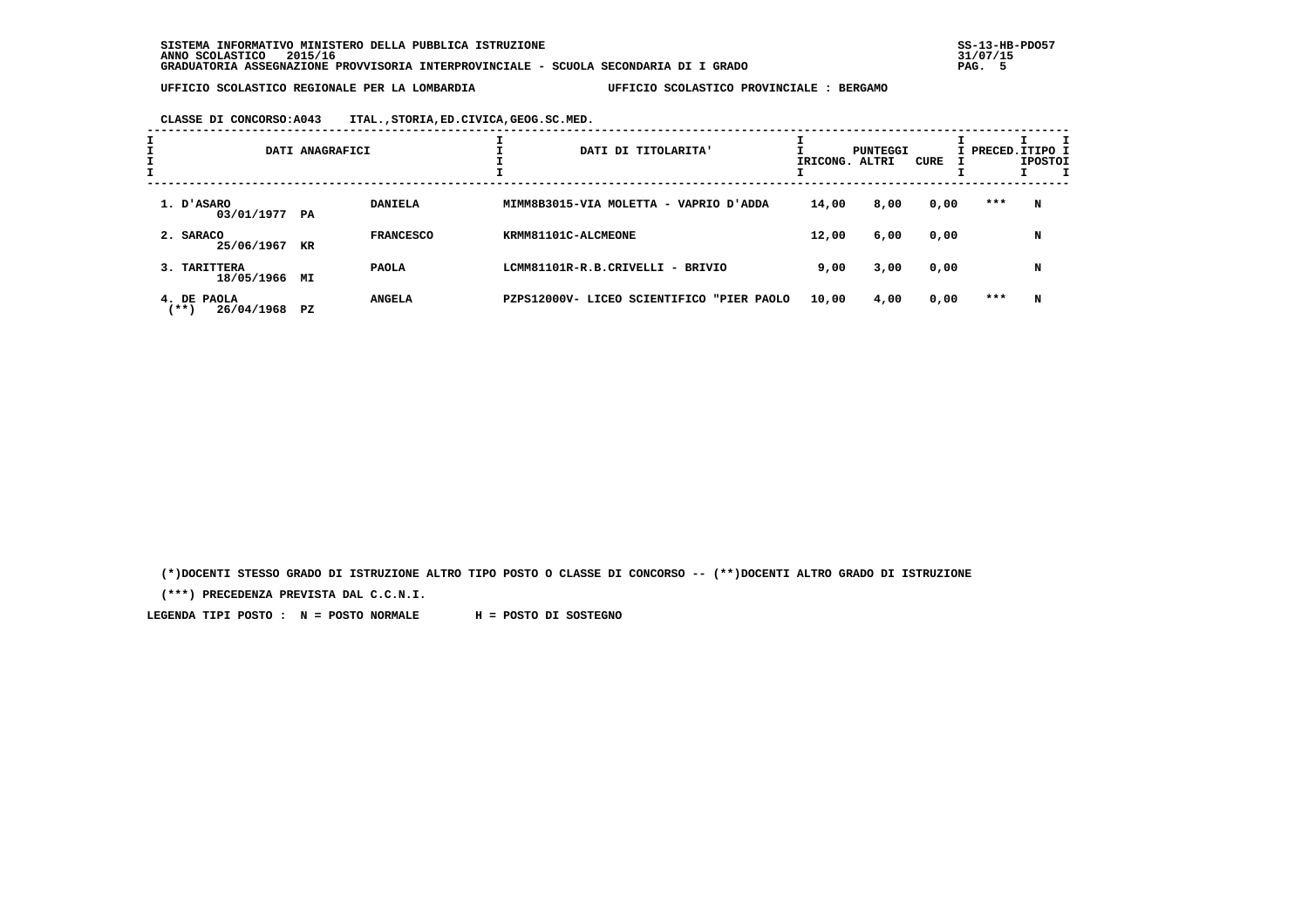**CLASSE DI CONCORSO:A043 ITAL.,STORIA,ED.CIVICA,GEOG.SC.MED.**

| I |                                   | DATI ANAGRAFICI |                  | DATI DI TITOLARITA'                          | IRICONG. ALTRI | PUNTEGGI | CURE |     | I PRECED. ITIPO I<br><b>IPOSTOI</b> |
|---|-----------------------------------|-----------------|------------------|----------------------------------------------|----------------|----------|------|-----|-------------------------------------|
|   | 1. D'ASARO<br>03/01/1977 PA       |                 | <b>DANIELA</b>   | MIMM8B3015-VIA MOLETTA - VAPRIO D'ADDA       | 14,00          | 8,00     | 0,00 | *** | N                                   |
|   | 2. SARACO<br>25/06/1967           | KR              | <b>FRANCESCO</b> | KRMM81101C-ALCMEONE                          | 12,00          | 6,00     | 0,00 |     | N                                   |
|   | 3. TARITTERA<br>18/05/1966 MI     |                 | <b>PAOLA</b>     | LCMM81101R-R.B.CRIVELLI - BRIVIO             | 9,00           | 3,00     | 0,00 |     | N                                   |
|   | 4. DE PAOLA<br>(**)<br>26/04/1968 | PZ.             | <b>ANGELA</b>    | PZPS12000V- LICEO SCIENTIFICO<br>"PIER PAOLO | 10,00          | 4,00     | 0,00 | *** | N                                   |

 **(\*)DOCENTI STESSO GRADO DI ISTRUZIONE ALTRO TIPO POSTO O CLASSE DI CONCORSO -- (\*\*)DOCENTI ALTRO GRADO DI ISTRUZIONE**

 **(\*\*\*) PRECEDENZA PREVISTA DAL C.C.N.I.**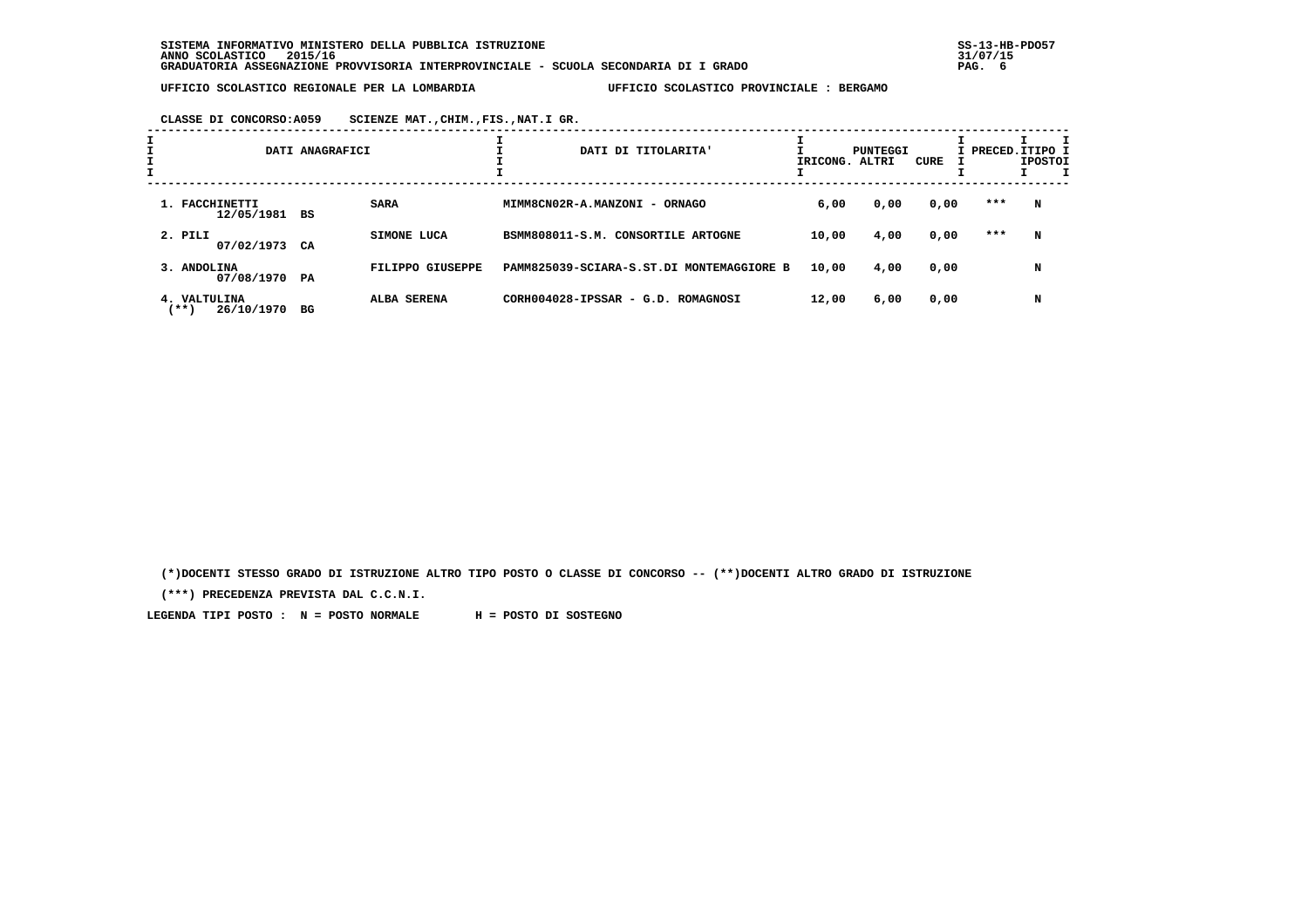**CLASSE DI CONCORSO:A059 SCIENZE MAT.,CHIM.,FIS.,NAT.I GR.**

|   |                                     | DATI ANAGRAFICI |                  | DATI DI TITOLARITA'                       | IRICONG. ALTRI | PUNTEGGI | CURE | I PRECED.ITIPO I | <b>IPOSTOI</b> |  |
|---|-------------------------------------|-----------------|------------------|-------------------------------------------|----------------|----------|------|------------------|----------------|--|
| I |                                     |                 |                  |                                           |                |          |      |                  |                |  |
|   | 1. FACCHINETTI<br>12/05/1981 BS     |                 | <b>SARA</b>      | MIMM8CN02R-A.MANZONI - ORNAGO             | 6,00           | 0,00     | 0,00 | ***              | N              |  |
|   | 2. PILI<br>07/02/1973 CA            |                 | SIMONE LUCA      | BSMM808011-S.M. CONSORTILE ARTOGNE        | 10,00          | 4,00     | 0,00 | ***              | N              |  |
|   | 3. ANDOLINA<br>07/08/1970 PA        |                 | FILIPPO GIUSEPPE | PAMM825039-SCIARA-S.ST.DI MONTEMAGGIORE B | 10,00          | 4,00     | 0,00 |                  | N              |  |
|   | 4. VALTULINA<br>26/10/1970<br>(** ) | BG              | ALBA SERENA      | CORH004028-IPSSAR - G.D. ROMAGNOSI        | 12,00          | 6,00     | 0,00 |                  | N              |  |

 **(\*)DOCENTI STESSO GRADO DI ISTRUZIONE ALTRO TIPO POSTO O CLASSE DI CONCORSO -- (\*\*)DOCENTI ALTRO GRADO DI ISTRUZIONE**

 **(\*\*\*) PRECEDENZA PREVISTA DAL C.C.N.I.**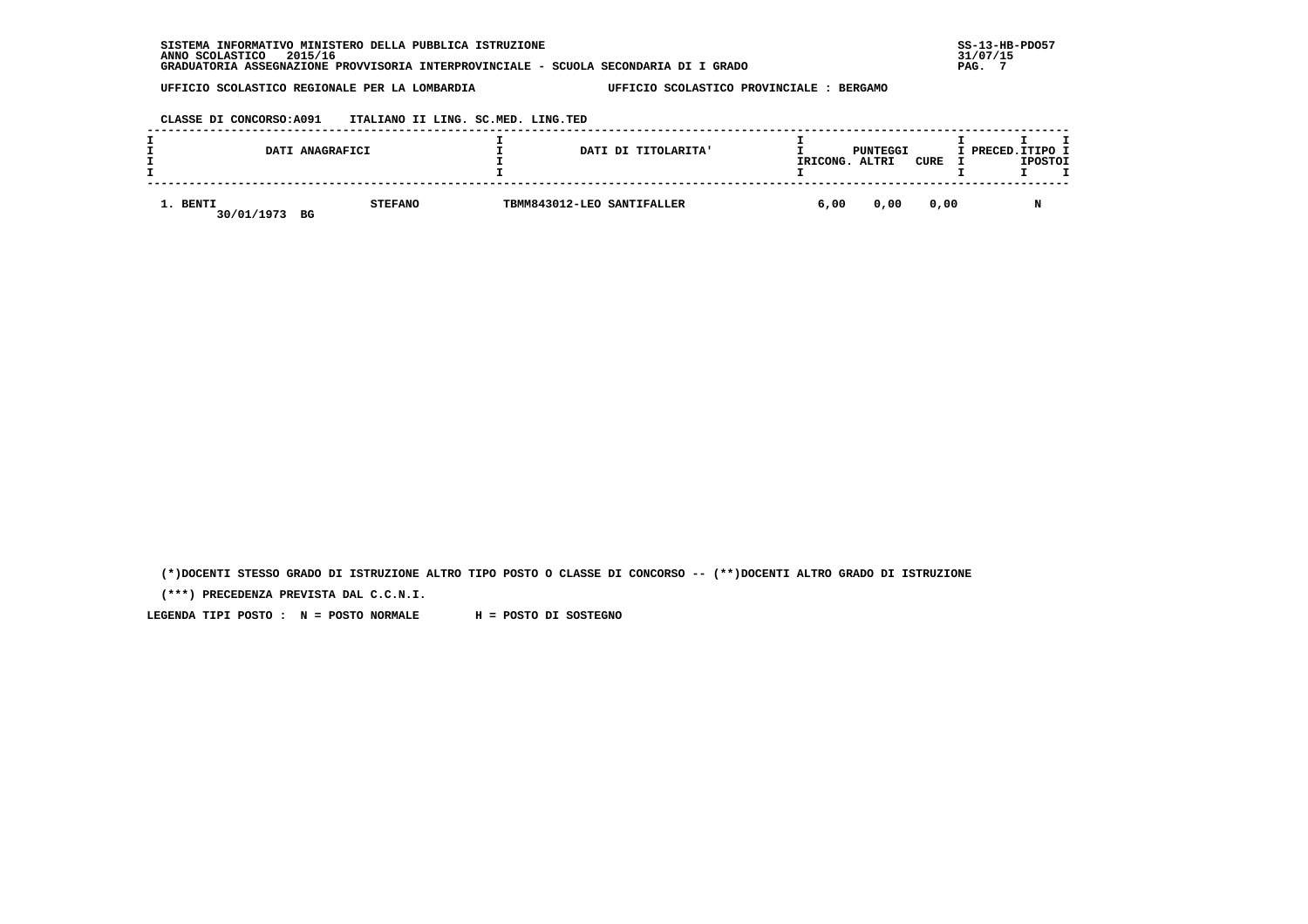| SISTEMA INFORMATIVO MINISTERO DELLA PUBBLICA ISTRUZIONE                              | $SS-13-HE$ |
|--------------------------------------------------------------------------------------|------------|
| 2015/16<br>ANNO SCOLASTICO                                                           | 31/07/15   |
| GRADUATORIA ASSEGNAZIONE PROVVISORIA INTERPROVINCIALE - SCUOLA SECONDARIA DI I GRADO | PAG.       |

 **CLASSE DI CONCORSO:A091 ITALIANO II LING. SC.MED. LING.TED**

|                        | DATI ANAGRAFICI      | DATI DI TITOLARITA'        | IRICONG. | PUNTEGGI<br>ALTRI | CURE | I PRECED.ITIPO I<br><b>IPOSTOI</b> |
|------------------------|----------------------|----------------------------|----------|-------------------|------|------------------------------------|
| 1. BENTI<br>30/01/1973 | <b>STEFANO</b><br>BG | TBMM843012-LEO SANTIFALLER | 6,00     | 0,00              | 0,00 |                                    |

 **(\*)DOCENTI STESSO GRADO DI ISTRUZIONE ALTRO TIPO POSTO O CLASSE DI CONCORSO -- (\*\*)DOCENTI ALTRO GRADO DI ISTRUZIONE**

 **(\*\*\*) PRECEDENZA PREVISTA DAL C.C.N.I.**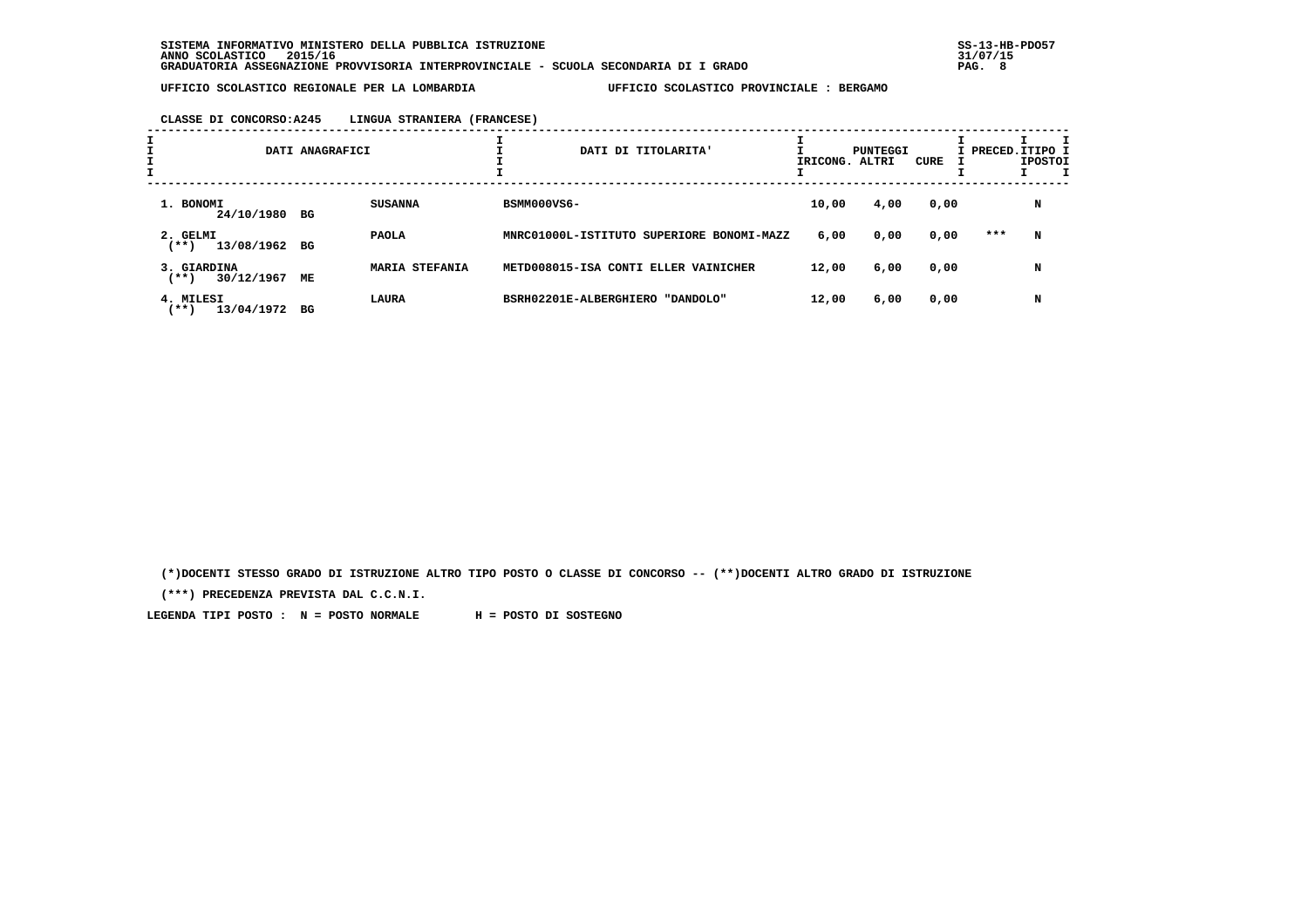#### **CLASSE DI CONCORSO:A245 LINGUA STRANIERA (FRANCESE)**

| $\mathbf{I}$ |                                    | DATI ANAGRAFICI |                       | DATI DI TITOLARITA'                       | IRICONG. | PUNTEGGI<br>ALTRI | CURE | I PRECED. ITIPO I | <b>IPOSTOI</b> |  |
|--------------|------------------------------------|-----------------|-----------------------|-------------------------------------------|----------|-------------------|------|-------------------|----------------|--|
|              | 1. BONOMI<br>24/10/1980 BG         |                 | <b>SUSANNA</b>        | BSMM000VS6-                               | 10,00    | 4,00              | 0,00 |                   | N              |  |
|              | 2. GELMI<br>13/08/1962 BG<br>(**)  |                 | <b>PAOLA</b>          | MNRC01000L-ISTITUTO SUPERIORE BONOMI-MAZZ | 6,00     | 0,00              | 0,00 | ***               | N              |  |
|              | 3. GIARDINA<br>30/12/1967<br>(**)  | МE              | <b>MARIA STEFANIA</b> | METD008015-ISA CONTI ELLER VAINICHER      | 12,00    | 6,00              | 0,00 |                   | N              |  |
|              | 4. MILESI<br>13/04/1972<br>$***$ ) | BG              | LAURA                 | BSRH02201E-ALBERGHIERO<br>"DANDOLO"       | 12,00    | 6,00              | 0,00 |                   | N              |  |

 **(\*)DOCENTI STESSO GRADO DI ISTRUZIONE ALTRO TIPO POSTO O CLASSE DI CONCORSO -- (\*\*)DOCENTI ALTRO GRADO DI ISTRUZIONE**

 **(\*\*\*) PRECEDENZA PREVISTA DAL C.C.N.I.**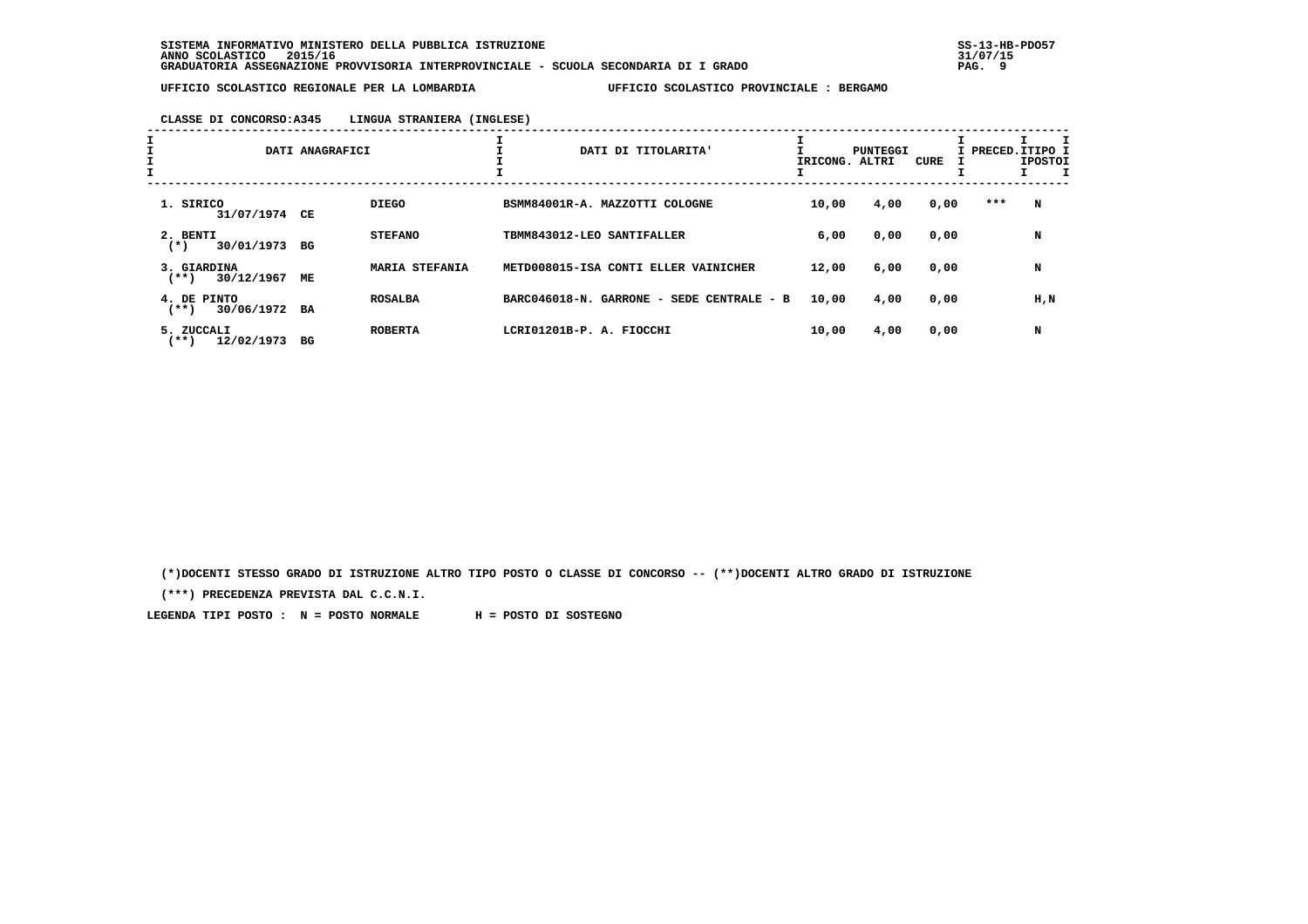#### **CLASSE DI CONCORSO:A345 LINGUA STRANIERA (INGLESE)**

| I                                       | DATI ANAGRAFICI             | ᆠ<br>DATI DI TITOLARITA'                  | IRICONG. ALTRI | PUNTEGGI | CURE |     | I PRECED.ITIPO I<br><b>IPOSTOI</b> |
|-----------------------------------------|-----------------------------|-------------------------------------------|----------------|----------|------|-----|------------------------------------|
| 1. SIRICO<br>31/07/1974 CE              | <b>DIEGO</b>                | BSMM84001R-A. MAZZOTTI COLOGNE            | 10,00          | 4,00     | 0,00 | *** | N                                  |
| 2. BENTI<br>$(*)$<br>30/01/1973         | <b>STEFANO</b><br>BG        | TBMM843012-LEO SANTIFALLER                | 6,00           | 0,00     | 0,00 |     | N                                  |
| 3. GIARDINA<br>30/12/1967<br>$(***)$    | <b>MARIA STEFANIA</b><br>МE | METD008015-ISA CONTI ELLER VAINICHER      | 12,00          | 6,00     | 0,00 |     | N                                  |
| 4. DE PINTO<br>30/06/1972 BA<br>$(***)$ | <b>ROSALBA</b>              | BARC046018-N. GARRONE - SEDE CENTRALE - B | 10,00          | 4,00     | 0,00 |     | H,N                                |
| 5. ZUCCALI<br>12/02/1973<br>(**)        | <b>ROBERTA</b><br>вG        | LCRI01201B-P. A. FIOCCHI                  | 10,00          | 4,00     | 0,00 |     | N                                  |

 **(\*)DOCENTI STESSO GRADO DI ISTRUZIONE ALTRO TIPO POSTO O CLASSE DI CONCORSO -- (\*\*)DOCENTI ALTRO GRADO DI ISTRUZIONE**

 **(\*\*\*) PRECEDENZA PREVISTA DAL C.C.N.I.**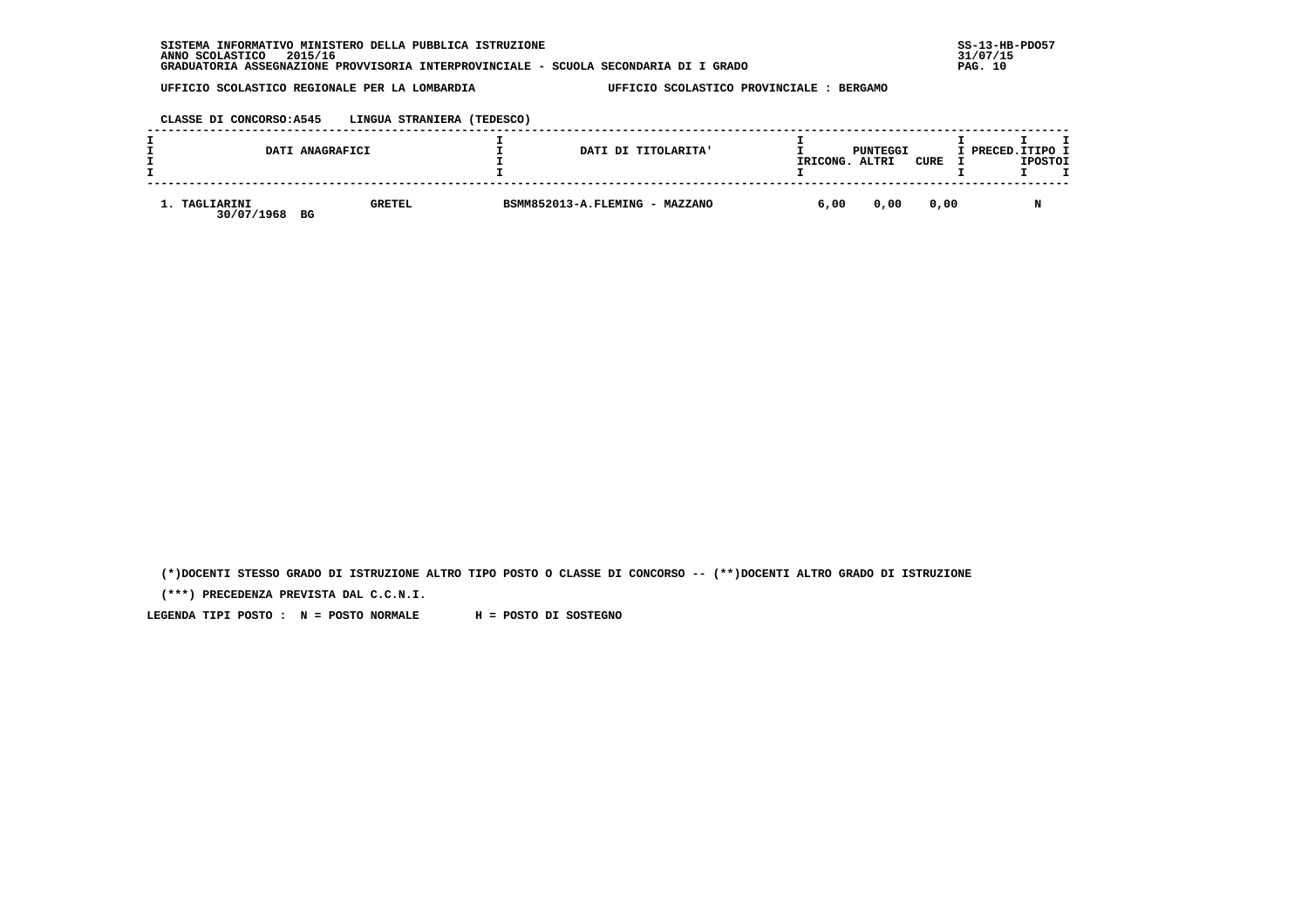| \ INFORMATIVO MINISTERO DELLA PUBBLICA ISTRUZIONE<br><b>SISTEMA</b>                  | $SS-13-HE$ |
|--------------------------------------------------------------------------------------|------------|
| 2015/16<br>ANNO SCOLASTICO                                                           | 31/07/15   |
| GRADUATORIA ASSEGNAZIONE PROVVISORIA INTERPROVINCIALE - SCUOLA SECONDARIA DI I GRADO | PAG. 10    |

## **CLASSE DI CONCORSO:A545 LINGUA STRANIERA (TEDESCO)**

|                             | DATI ANAGRAFICI     | DATI DI TITOLARITA'            | IRICONG. | PUNTEGGI<br>ALTRI | CURE | I PRECED.ITIPO I<br><b>IPOSTOI</b> |
|-----------------------------|---------------------|--------------------------------|----------|-------------------|------|------------------------------------|
| 1. TAGLIARINI<br>30/07/1968 | <b>GRETEL</b><br>BG | BSMM852013-A.FLEMING - MAZZANO | 6,00     | 0,00              | 0.00 |                                    |

 **(\*)DOCENTI STESSO GRADO DI ISTRUZIONE ALTRO TIPO POSTO O CLASSE DI CONCORSO -- (\*\*)DOCENTI ALTRO GRADO DI ISTRUZIONE**

 **(\*\*\*) PRECEDENZA PREVISTA DAL C.C.N.I.**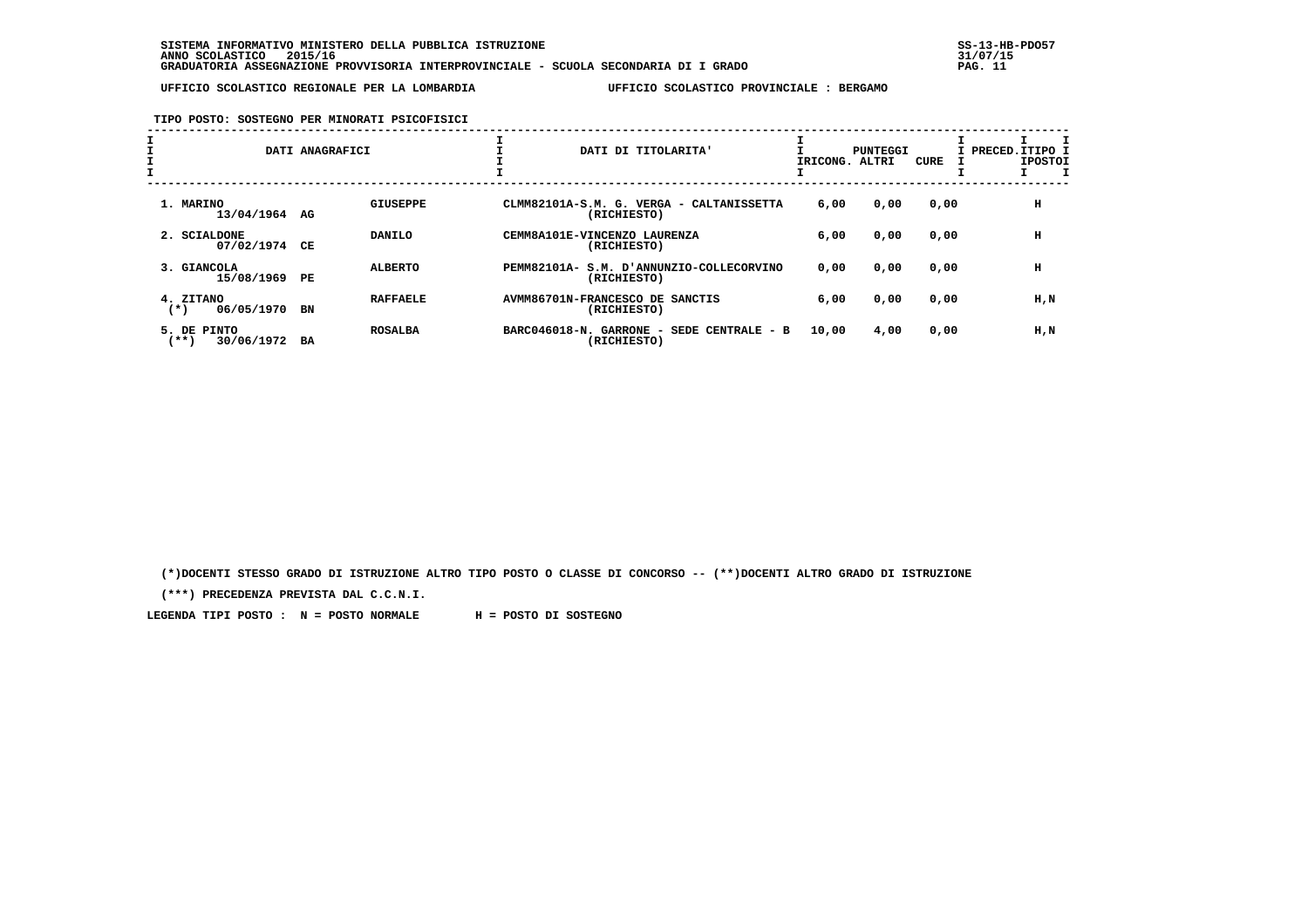**TIPO POSTO: SOSTEGNO PER MINORATI PSICOFISICI**

| $\mathbf{I}$ |                                      | DATI ANAGRAFICI             |                              | DATI DI TITOLARITA'                                          | IRICONG. | <b>PUNTEGGI</b><br>ALTRI | CURE | I PRECED.ITIPO I<br><b>IPOSTOI</b> |
|--------------|--------------------------------------|-----------------------------|------------------------------|--------------------------------------------------------------|----------|--------------------------|------|------------------------------------|
|              | 1. MARINO<br>13/04/1964 AG           | <b>GIUSEPPE</b>             |                              | CLMM82101A-S.M. G. VERGA - CALTANISSETTA<br>(RICHIESTO)      | 6,00     | 0,00                     | 0,00 | н                                  |
|              | 2. SCIALDONE<br>07/02/1974           | DANILO<br>CЕ                | CEMM8A101E-VINCENZO LAURENZA | (RICHIESTO)                                                  | 6,00     | 0,00                     | 0,00 | н                                  |
|              | 3. GIANCOLA<br>15/08/1969            | <b>ALBERTO</b><br>PE        | PEMM82101A-                  | S.M. D'ANNUNZIO-COLLECORVINO<br>(RICHIESTO)                  | 0,00     | 0,00                     | 0,00 | н                                  |
|              | 4. ZITANO<br>06/05/1970<br>$(*)$     | <b>RAFFAELE</b><br>BN       |                              | AVMM86701N-FRANCESCO DE SANCTIS<br>(RICHIESTO)               | 6,00     | 0,00                     | 0,00 | H,N                                |
|              | 5. DE PINTO<br>$***$ )<br>30/06/1972 | <b>ROSALBA</b><br><b>BA</b> | BARC046018-N. GARRONE        | SEDE CENTRALE - B<br>$\overline{\phantom{0}}$<br>(RICHIESTO) | 10,00    | 4,00                     | 0,00 | H,N                                |

 **(\*)DOCENTI STESSO GRADO DI ISTRUZIONE ALTRO TIPO POSTO O CLASSE DI CONCORSO -- (\*\*)DOCENTI ALTRO GRADO DI ISTRUZIONE**

 **(\*\*\*) PRECEDENZA PREVISTA DAL C.C.N.I.**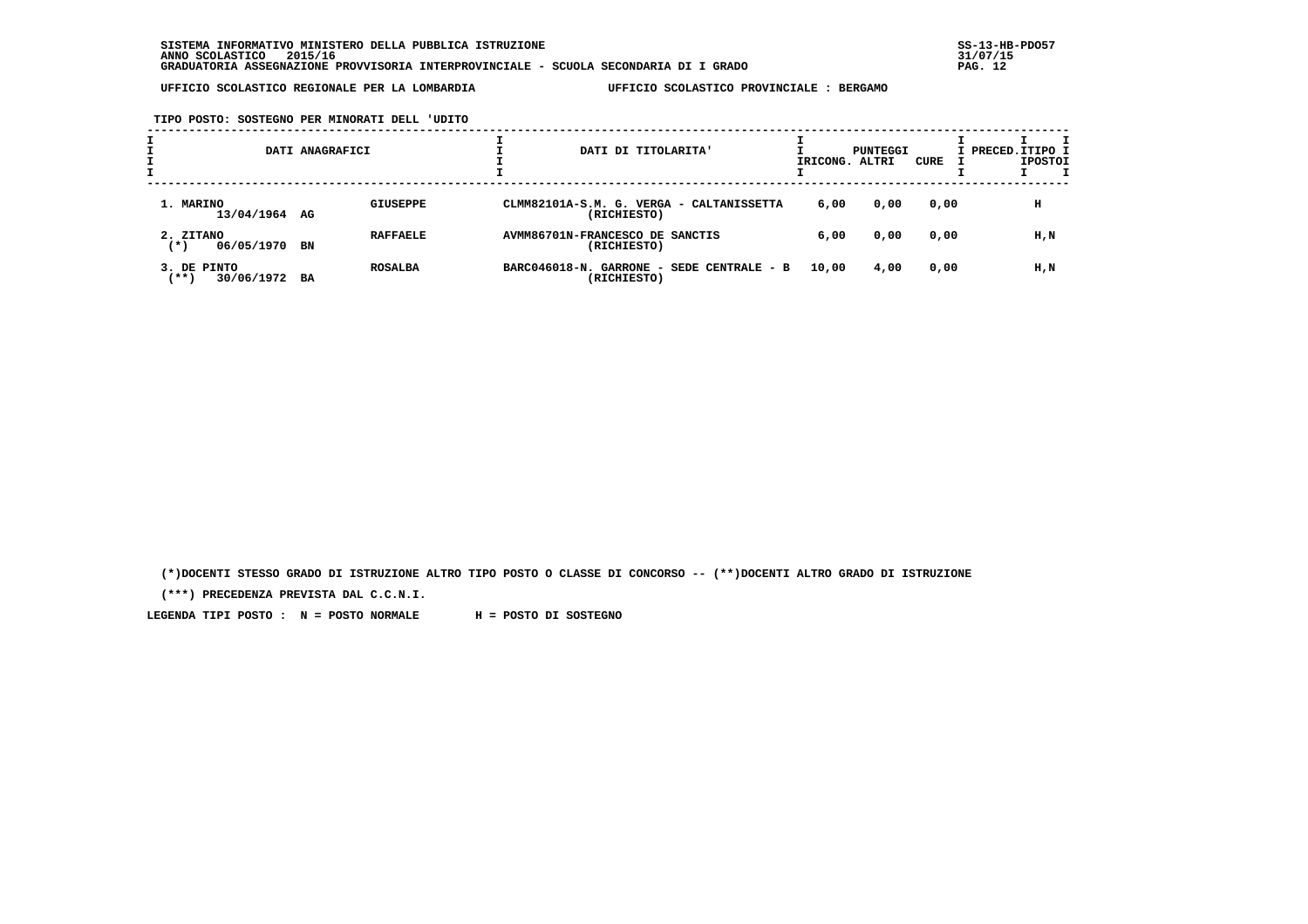**TIPO POSTO: SOSTEGNO PER MINORATI DELL 'UDITO**

|                                    | DATI ANAGRAFICI       | DATI DI TITOLARITA'                                      | IRICONG. | PUNTEGGI<br>ALTRI | CURE | I PRECED. ITIPO I | <b>IPOSTOI</b> |  |
|------------------------------------|-----------------------|----------------------------------------------------------|----------|-------------------|------|-------------------|----------------|--|
| 1. MARINO<br>13/04/1964 AG         | <b>GIUSEPPE</b>       | CLMM82101A-S.M. G. VERGA - CALTANISSETTA<br>(RICHIESTO)  | 6,00     | 0,00              | 0,00 |                   | н              |  |
| 2. ZITANO<br>06/05/1970<br>(*)     | <b>RAFFAELE</b><br>BN | AVMM86701N-FRANCESCO DE SANCTIS<br>(RICHIESTO)           | 6,00     | 0,00              | 0,00 |                   | H,N            |  |
| 3. DE PINTO<br>$***$<br>30/06/1972 | <b>ROSALBA</b><br>BA  | BARC046018-N. GARRONE - SEDE CENTRALE - B<br>(RICHIESTO) | 10,00    | 4,00              | 0,00 |                   | H,N            |  |

 **(\*)DOCENTI STESSO GRADO DI ISTRUZIONE ALTRO TIPO POSTO O CLASSE DI CONCORSO -- (\*\*)DOCENTI ALTRO GRADO DI ISTRUZIONE**

 **(\*\*\*) PRECEDENZA PREVISTA DAL C.C.N.I.**